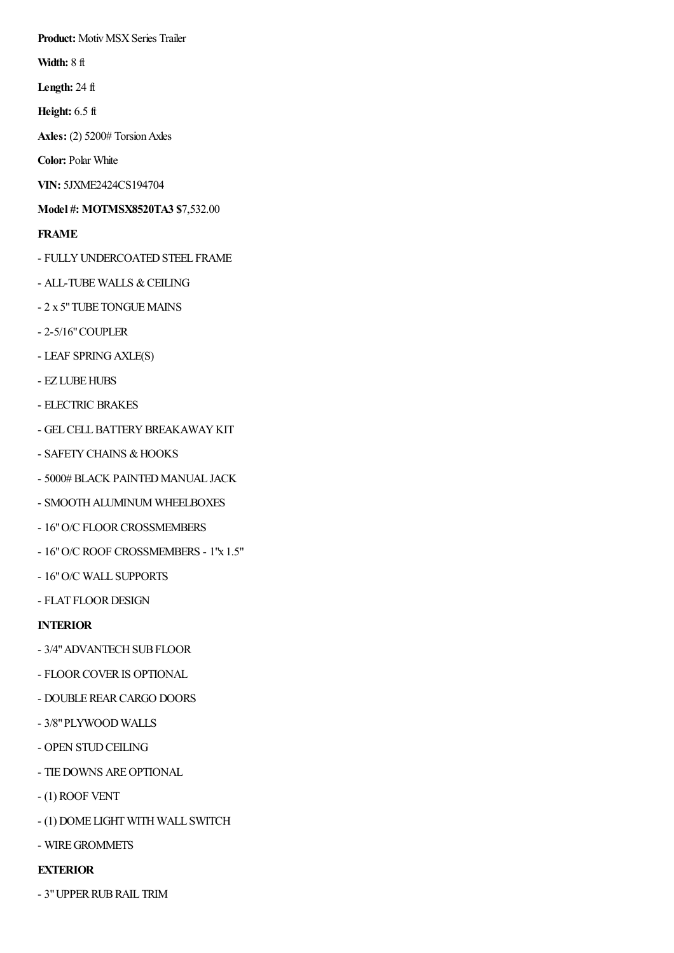**Product:** Motiv MSX Series Trailer

**Width:** 8 ft

**Length:** 24 ft

**Height:** 6.5 ft

Axles: (2) 5200# Torsion Axles

**Color:** Polar White

**VIN:** 5JXME2424CS194704

**Model #: MOTMSX8520TA3 \$**7,532.00

**FRAME**

- FULLY UNDERCOATED STEEL FRAME
- ALL-TUBE WALLS & CEILING
- 2 x 5" TUBE TONGUE MAINS
- 2-5/16"COUPLER
- LEAF SPRINGAXLE(S)
- EZ LUBE HUBS
- ELECTRIC BRAKES
- GEL CELL BATTERY BREAKAWAY KIT
- SAFETY CHAINS & HOOKS
- 5000# BLACK PAINTED MANUAL JACK
- SMOOTH ALUMINUM WHEELBOXES
- 16" O/C FLOOR CROSSMEMBERS
- 16"O/C ROOF CROSSMEMBERS 1"x 1.5"
- 16"O/C WALL SUPPORTS
- FLAT FLOOR DESIGN

## **INTERIOR**

- 3/4" ADVANTECH SUB FLOOR
- FLOORCOVERIS OPTIONAL
- DOUBLEREARCARGO DOORS
- 3/8"PLYWOOD WALLS
- OPEN STUD CEILING
- TIEDOWNS AREOPTIONAL
- (1) ROOF VENT
- (1) DOME LIGHT WITH WALL SWITCH
- WIREGROMMETS

## **EXTERIOR**

- 3"UPPERRUBRAIL TRIM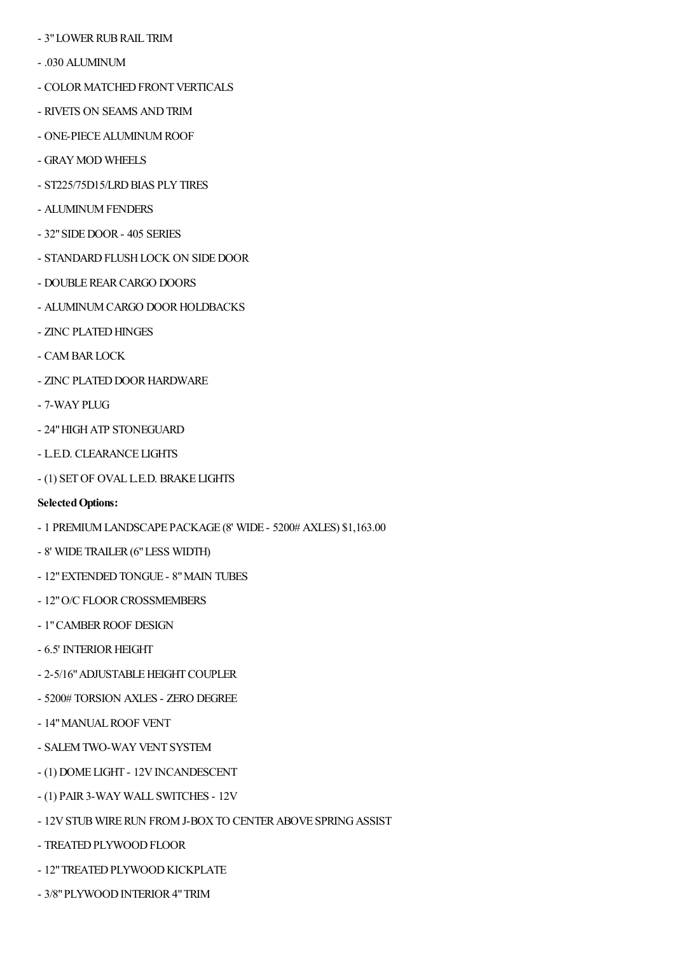- 3" LOWER RUB RAIL TRIM
- .030 ALUMINUM
- COLOR MATCHED FRONT VERTICALS
- RIVETS ON SEAMS ANDTRIM
- ONE-PIECE ALUMINUM ROOF
- GRAY MOD WHEELS
- ST225/75D15/LRD BIAS PLY TIRES
- ALUMINUM FENDERS
- 32"SIDEDOOR- 405 SERIES
- STANDARD FLUSH LOCK ON SIDE DOOR
- DOUBLEREARCARGO DOORS
- ALUMINUM CARGO DOOR HOLDBACKS
- ZINC PLATED HINGES
- CAMBARLOCK
- ZINC PLATED DOOR HARDWARE
- 7-WAYPLUG
- 24"HIGHATP STONEGUARD
- L.E.D. CLEARANCE LIGHTS
- (1) SETOF OVAL L.E.D. BRAKE LIGHTS
- **Selected Options:**
- 1 PREMIUMLANDSCAPE PACKAGE (8' WIDE 5200# AXLES) \$1,163.00
- 8' WIDE TRAILER (6" LESS WIDTH)
- 12" EXTENDED TONGUE 8" MAIN TUBES
- 12" O/C FLOOR CROSSMEMBERS
- 1" CAMBER ROOF DESIGN
- 6.5' INTERIOR HEIGHT
- 2-5/16" ADJUSTABLE HEIGHT COUPLER
- 5200# TORSION AXLES ZERO DEGREE
- 14" MANUAL ROOF VENT
- SALEM TWO-WAY VENT SYSTEM
- (1) DOME LIGHT 12V INCANDESCENT
- (1) PAIR3-WAY WALL SWITCHES 12V
- 12V STUB WIRE RUN FROM J-BOX TO CENTER ABOVE SPRING ASSIST
- TREATED PLYWOOD FLOOR
- 12" TREATED PLYWOOD KICKPLATE
- 3/8" PLYWOOD INTERIOR 4" TRIM